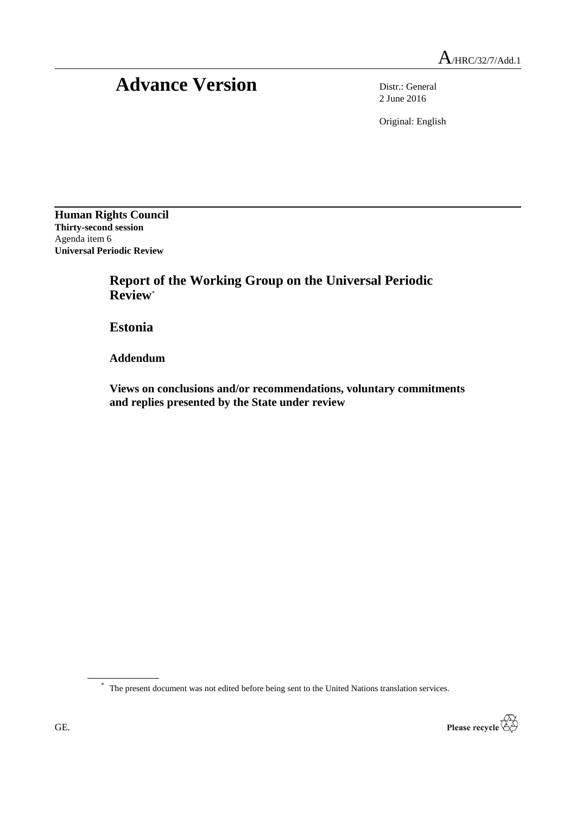## Advance Version Distr.: General

2 June 2016

Original: English

**Human Rights Council Thirty-second session** Agenda item 6 **Universal Periodic Review**

> **Report of the Working Group on the Universal Periodic Review**\*

**Estonia**

**Addendum**

**Views on conclusions and/or recommendations, voluntary commitments and replies presented by the State under review**

\* The present document was not edited before being sent to the United Nations translation services.

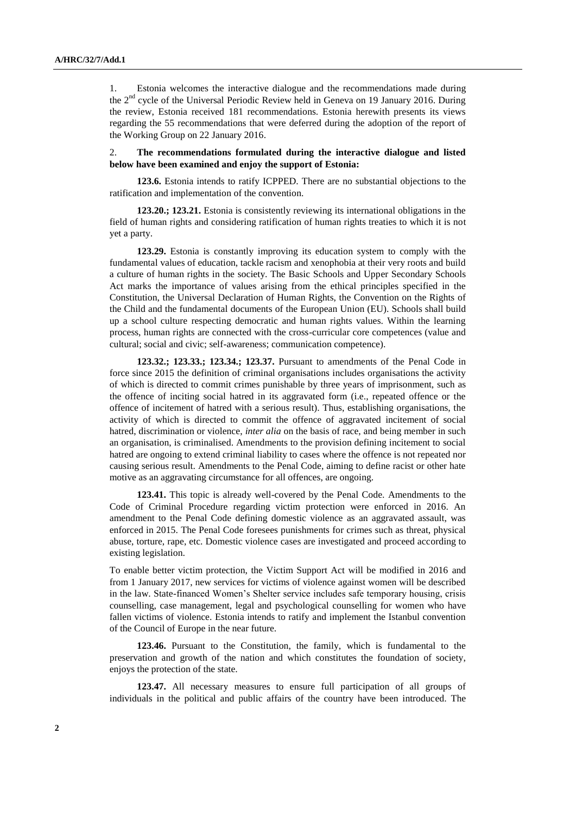1. Estonia welcomes the interactive dialogue and the recommendations made during the  $2<sup>nd</sup>$  cycle of the Universal Periodic Review held in Geneva on 19 January 2016. During the review, Estonia received 181 recommendations. Estonia herewith presents its views regarding the 55 recommendations that were deferred during the adoption of the report of the Working Group on 22 January 2016.

## 2. **The recommendations formulated during the interactive dialogue and listed below have been examined and enjoy the support of Estonia:**

**123.6.** Estonia intends to ratify ICPPED. There are no substantial objections to the ratification and implementation of the convention.

**123.20.; 123.21.** Estonia is consistently reviewing its international obligations in the field of human rights and considering ratification of human rights treaties to which it is not yet a party.

**123.29.** Estonia is constantly improving its education system to comply with the fundamental values of education, tackle racism and xenophobia at their very roots and build a culture of human rights in the society. The Basic Schools and Upper Secondary Schools Act marks the importance of values arising from the ethical principles specified in the Constitution, the Universal Declaration of Human Rights, the Convention on the Rights of the Child and the fundamental documents of the European Union (EU). Schools shall build up a school culture respecting democratic and human rights values. Within the learning process, human rights are connected with the cross-curricular core competences (value and cultural; social and civic; self-awareness; communication competence).

**123.32.; 123.33.; 123.34.; 123.37.** Pursuant to amendments of the Penal Code in force since 2015 the definition of criminal organisations includes organisations the activity of which is directed to commit crimes punishable by three years of imprisonment, such as the offence of inciting social hatred in its aggravated form (i.e., repeated offence or the offence of incitement of hatred with a serious result). Thus, establishing organisations, the activity of which is directed to commit the offence of aggravated incitement of social hatred, discrimination or violence, *inter alia* on the basis of race, and being member in such an organisation, is criminalised. Amendments to the provision defining incitement to social hatred are ongoing to extend criminal liability to cases where the offence is not repeated nor causing serious result. Amendments to the Penal Code, aiming to define racist or other hate motive as an aggravating circumstance for all offences, are ongoing.

**123.41.** This topic is already well-covered by the Penal Code. Amendments to the Code of Criminal Procedure regarding victim protection were enforced in 2016. An amendment to the Penal Code defining domestic violence as an aggravated assault, was enforced in 2015. The Penal Code foresees punishments for crimes such as threat, physical abuse, torture, rape, etc. Domestic violence cases are investigated and proceed according to existing legislation.

To enable better victim protection, the Victim Support Act will be modified in 2016 and from 1 January 2017, new services for victims of violence against women will be described in the law. State-financed Women's Shelter service includes safe temporary housing, crisis counselling, case management, legal and psychological counselling for women who have fallen victims of violence. Estonia intends to ratify and implement the Istanbul convention of the Council of Europe in the near future.

**123.46.** Pursuant to the Constitution, the family, which is fundamental to the preservation and growth of the nation and which constitutes the foundation of society, enjoys the protection of the state.

**123.47.** All necessary measures to ensure full participation of all groups of individuals in the political and public affairs of the country have been introduced. The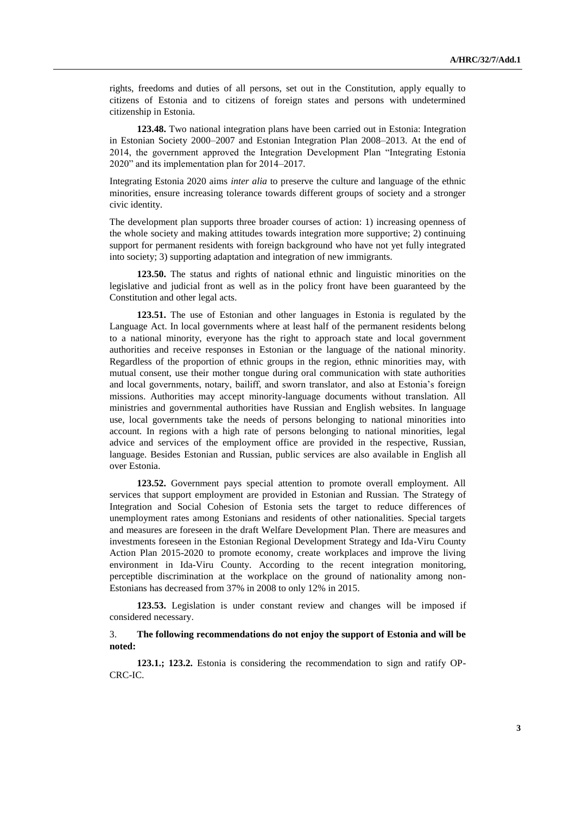rights, freedoms and duties of all persons, set out in the Constitution, apply equally to citizens of Estonia and to citizens of foreign states and persons with undetermined citizenship in Estonia.

**123.48.** Two national integration plans have been carried out in Estonia: Integration in Estonian Society 2000–2007 and Estonian Integration Plan 2008–2013. At the end of 2014, the government approved the Integration Development Plan "Integrating Estonia 2020" and its implementation plan for 2014–2017.

Integrating Estonia 2020 aims *inter alia* to preserve the culture and language of the ethnic minorities, ensure increasing tolerance towards different groups of society and a stronger civic identity.

The development plan supports three broader courses of action: 1) increasing openness of the whole society and making attitudes towards integration more supportive; 2) continuing support for permanent residents with foreign background who have not yet fully integrated into society; 3) supporting adaptation and integration of new immigrants.

**123.50.** The status and rights of national ethnic and linguistic minorities on the legislative and judicial front as well as in the policy front have been guaranteed by the Constitution and other legal acts.

**123.51.** The use of Estonian and other languages in Estonia is regulated by the Language Act. In local governments where at least half of the permanent residents belong to a national minority, everyone has the right to approach state and local government authorities and receive responses in Estonian or the language of the national minority. Regardless of the proportion of ethnic groups in the region, ethnic minorities may, with mutual consent, use their mother tongue during oral communication with state authorities and local governments, notary, bailiff, and sworn translator, and also at Estonia's foreign missions. Authorities may accept minority-language documents without translation. All ministries and governmental authorities have Russian and English websites. In language use, local governments take the needs of persons belonging to national minorities into account. In regions with a high rate of persons belonging to national minorities, legal advice and services of the employment office are provided in the respective, Russian, language. Besides Estonian and Russian, public services are also available in English all over Estonia.

**123.52.** Government pays special attention to promote overall employment. All services that support employment are provided in Estonian and Russian. The Strategy of Integration and Social Cohesion of Estonia sets the target to reduce differences of unemployment rates among Estonians and residents of other nationalities. Special targets and measures are foreseen in the draft Welfare Development Plan. There are measures and investments foreseen in the Estonian Regional Development Strategy and Ida-Viru County Action Plan 2015-2020 to promote economy, create workplaces and improve the living environment in Ida-Viru County. According to the recent integration monitoring, perceptible discrimination at the workplace on the ground of nationality among non-Estonians has decreased from 37% in 2008 to only 12% in 2015.

**123.53.** Legislation is under constant review and changes will be imposed if considered necessary.

## 3. **The following recommendations do not enjoy the support of Estonia and will be noted:**

**123.1.; 123.2.** Estonia is considering the recommendation to sign and ratify OP-CRC-IC.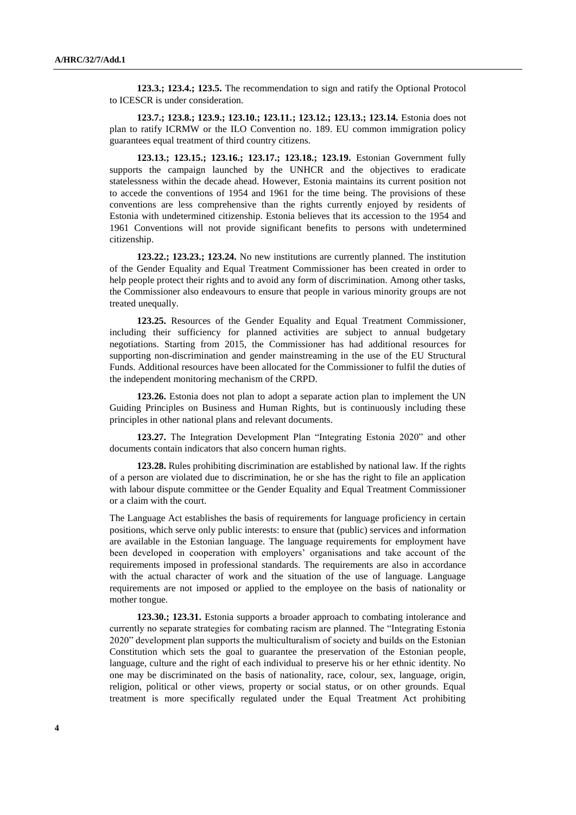**123.3.; 123.4.; 123.5.** The recommendation to sign and ratify the Optional Protocol to ICESCR is under consideration.

**123.7.; 123.8.; 123.9.; 123.10.; 123.11.; 123.12.; 123.13.; 123.14.** Estonia does not plan to ratify ICRMW or the ILO Convention no. 189. EU common immigration policy guarantees equal treatment of third country citizens.

**123.13.; 123.15.; 123.16.; 123.17.; 123.18.; 123.19.** Estonian Government fully supports the campaign launched by the UNHCR and the objectives to eradicate statelessness within the decade ahead. However, Estonia maintains its current position not to accede the conventions of 1954 and 1961 for the time being. The provisions of these conventions are less comprehensive than the rights currently enjoyed by residents of Estonia with undetermined citizenship. Estonia believes that its accession to the 1954 and 1961 Conventions will not provide significant benefits to persons with undetermined citizenship.

**123.22.; 123.23.; 123.24.** No new institutions are currently planned. The institution of the Gender Equality and Equal Treatment Commissioner has been created in order to help people protect their rights and to avoid any form of discrimination. Among other tasks, the Commissioner also endeavours to ensure that people in various minority groups are not treated unequally.

**123.25.** Resources of the Gender Equality and Equal Treatment Commissioner, including their sufficiency for planned activities are subject to annual budgetary negotiations. Starting from 2015, the Commissioner has had additional resources for supporting non-discrimination and gender mainstreaming in the use of the EU Structural Funds. Additional resources have been allocated for the Commissioner to fulfil the duties of the independent monitoring mechanism of the CRPD.

**123.26.** Estonia does not plan to adopt a separate action plan to implement the UN Guiding Principles on Business and Human Rights, but is continuously including these principles in other national plans and relevant documents.

**123.27.** The Integration Development Plan "Integrating Estonia 2020" and other documents contain indicators that also concern human rights.

**123.28.** Rules prohibiting discrimination are established by national law. If the rights of a person are violated due to discrimination, he or she has the right to file an application with labour dispute committee or the Gender Equality and Equal Treatment Commissioner or a claim with the court.

The Language Act establishes the basis of requirements for language proficiency in certain positions, which serve only public interests: to ensure that (public) services and information are available in the Estonian language. The language requirements for employment have been developed in cooperation with employers' organisations and take account of the requirements imposed in professional standards. The requirements are also in accordance with the actual character of work and the situation of the use of language. Language requirements are not imposed or applied to the employee on the basis of nationality or mother tongue.

**123.30.; 123.31.** Estonia supports a broader approach to combating intolerance and currently no separate strategies for combating racism are planned. The "Integrating Estonia 2020" development plan supports the multiculturalism of society and builds on the Estonian Constitution which sets the goal to guarantee the preservation of the Estonian people, language, culture and the right of each individual to preserve his or her ethnic identity. No one may be discriminated on the basis of nationality, race, colour, sex, language, origin, religion, political or other views, property or social status, or on other grounds. Equal treatment is more specifically regulated under the Equal Treatment Act prohibiting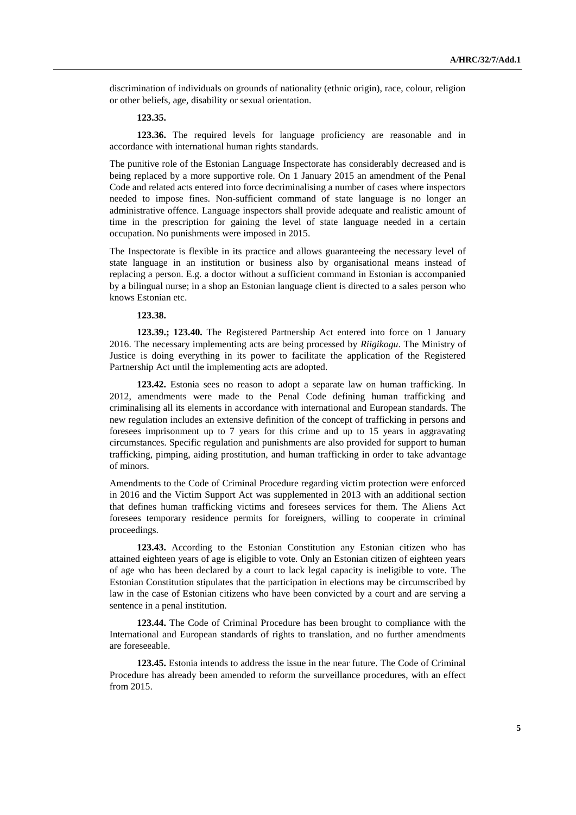discrimination of individuals on grounds of nationality (ethnic origin), race, colour, religion or other beliefs, age, disability or sexual orientation.

## **123.35.**

**123.36.** The required levels for language proficiency are reasonable and in accordance with international human rights standards.

The punitive role of the Estonian Language Inspectorate has considerably decreased and is being replaced by a more supportive role. On 1 January 2015 an amendment of the Penal Code and related acts entered into force decriminalising a number of cases where inspectors needed to impose fines. Non-sufficient command of state language is no longer an administrative offence. Language inspectors shall provide adequate and realistic amount of time in the prescription for gaining the level of state language needed in a certain occupation. No punishments were imposed in 2015.

The Inspectorate is flexible in its practice and allows guaranteeing the necessary level of state language in an institution or business also by organisational means instead of replacing a person. E.g. a doctor without a sufficient command in Estonian is accompanied by a bilingual nurse; in a shop an Estonian language client is directed to a sales person who knows Estonian etc.

**123.38.**

**123.39.; 123.40.** The Registered Partnership Act entered into force on 1 January 2016. The necessary implementing acts are being processed by *Riigikogu*. The Ministry of Justice is doing everything in its power to facilitate the application of the Registered Partnership Act until the implementing acts are adopted.

**123.42.** Estonia sees no reason to adopt a separate law on human trafficking. In 2012, amendments were made to the Penal Code defining human trafficking and criminalising all its elements in accordance with international and European standards. The new regulation includes an extensive definition of the concept of trafficking in persons and foresees imprisonment up to 7 years for this crime and up to 15 years in aggravating circumstances. Specific regulation and punishments are also provided for support to human trafficking, pimping, aiding prostitution, and human trafficking in order to take advantage of minors.

Amendments to the Code of Criminal Procedure regarding victim protection were enforced in 2016 and the Victim Support Act was supplemented in 2013 with an additional section that defines human trafficking victims and foresees services for them. The Aliens Act foresees temporary residence permits for foreigners, willing to cooperate in criminal proceedings.

**123.43.** According to the Estonian Constitution any Estonian citizen who has attained eighteen years of age is eligible to vote. Only an Estonian citizen of eighteen years of age who has been declared by a court to lack legal capacity is ineligible to vote. The Estonian Constitution stipulates that the participation in elections may be circumscribed by law in the case of Estonian citizens who have been convicted by a court and are serving a sentence in a penal institution.

**123.44.** The Code of Criminal Procedure has been brought to compliance with the International and European standards of rights to translation, and no further amendments are foreseeable.

**123.45.** Estonia intends to address the issue in the near future. The Code of Criminal Procedure has already been amended to reform the surveillance procedures, with an effect from 2015.